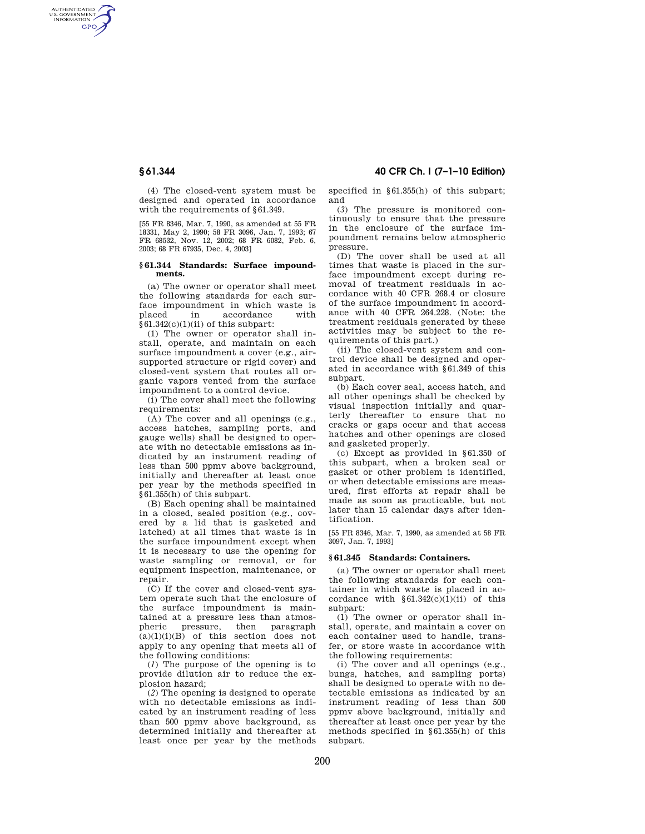AUTHENTICATED<br>U.S. GOVERNMENT<br>INFORMATION **GPO** 

> (4) The closed-vent system must be designed and operated in accordance with the requirements of §61.349.

> [55 FR 8346, Mar. 7, 1990, as amended at 55 FR 18331, May 2, 1990; 58 FR 3096, Jan. 7, 1993; 67 FR 68532, Nov. 12, 2002; 68 FR 6082, Feb. 6, 2003; 68 FR 67935, Dec. 4, 2003]

### **§ 61.344 Standards: Surface impoundments.**

(a) The owner or operator shall meet the following standards for each surface impoundment in which waste is<br>placed in accordance with in accordance  $§61.342(c)(1)(ii)$  of this subpart:

(1) The owner or operator shall install, operate, and maintain on each surface impoundment a cover (e.g., airsupported structure or rigid cover) and closed-vent system that routes all organic vapors vented from the surface impoundment to a control device.

(i) The cover shall meet the following requirements:

(A) The cover and all openings (e.g., access hatches, sampling ports, and gauge wells) shall be designed to operate with no detectable emissions as indicated by an instrument reading of less than 500 ppmv above background, initially and thereafter at least once per year by the methods specified in §61.355(h) of this subpart.

(B) Each opening shall be maintained in a closed, sealed position (e.g., covered by a lid that is gasketed and latched) at all times that waste is in the surface impoundment except when it is necessary to use the opening for waste sampling or removal, or for equipment inspection, maintenance, or repair.

(C) If the cover and closed-vent system operate such that the enclosure of the surface impoundment is maintained at a pressure less than atmospheric pressure, then paragraph  $(a)(1)(i)(B)$  of this section does not apply to any opening that meets all of the following conditions:

(*1*) The purpose of the opening is to provide dilution air to reduce the explosion hazard;

(*2*) The opening is designed to operate with no detectable emissions as indicated by an instrument reading of less than 500 ppmv above background, as determined initially and thereafter at least once per year by the methods

**§ 61.344 40 CFR Ch. I (7–1–10 Edition)** 

specified in §61.355(h) of this subpart; and

(*3*) The pressure is monitored continuously to ensure that the pressure in the enclosure of the surface impoundment remains below atmospheric pressure.

(D) The cover shall be used at all times that waste is placed in the surface impoundment except during removal of treatment residuals in accordance with 40 CFR 268.4 or closure of the surface impoundment in accordance with 40 CFR 264.228. (Note: the treatment residuals generated by these activities may be subject to the requirements of this part.)

(ii) The closed-vent system and control device shall be designed and operated in accordance with §61.349 of this subpart.

(b) Each cover seal, access hatch, and all other openings shall be checked by visual inspection initially and quarterly thereafter to ensure that no cracks or gaps occur and that access hatches and other openings are closed and gasketed properly.

(c) Except as provided in §61.350 of this subpart, when a broken seal or gasket or other problem is identified, or when detectable emissions are measured, first efforts at repair shall be made as soon as practicable, but not later than 15 calendar days after identification.

[55 FR 8346, Mar. 7, 1990, as amended at 58 FR 3097, Jan. 7, 1993]

## **§ 61.345 Standards: Containers.**

(a) The owner or operator shall meet the following standards for each container in which waste is placed in accordance with  $§61.342(c)(1)(ii)$  of this subpart:

(1) The owner or operator shall install, operate, and maintain a cover on each container used to handle, transfer, or store waste in accordance with the following requirements:

(i) The cover and all openings (e.g., bungs, hatches, and sampling ports) shall be designed to operate with no detectable emissions as indicated by an instrument reading of less than 500 ppmv above background, initially and thereafter at least once per year by the methods specified in §61.355(h) of this subpart.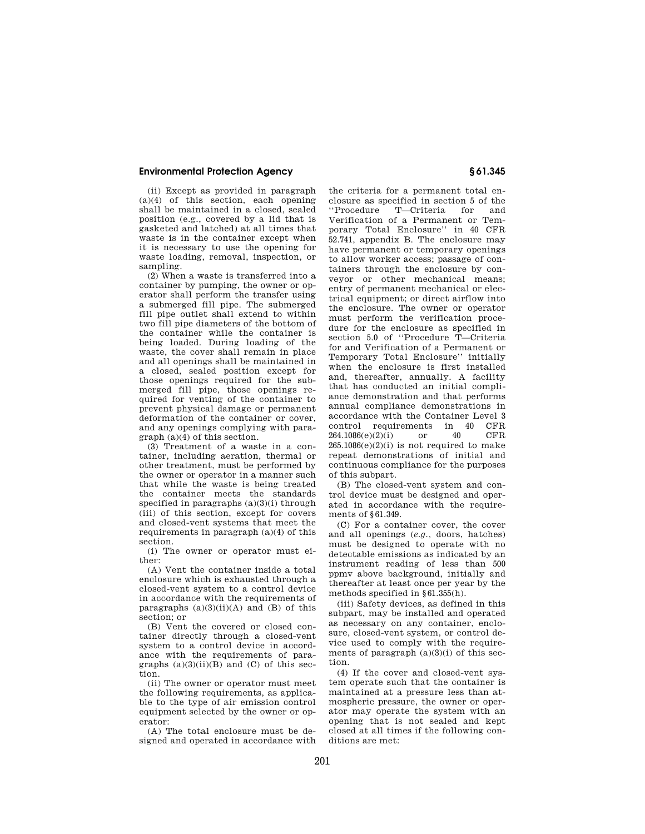# **Environmental Protection Agency § 61.345**

(ii) Except as provided in paragraph (a)(4) of this section, each opening shall be maintained in a closed, sealed position (e.g., covered by a lid that is gasketed and latched) at all times that waste is in the container except when it is necessary to use the opening for waste loading, removal, inspection, or sampling.

(2) When a waste is transferred into a container by pumping, the owner or operator shall perform the transfer using a submerged fill pipe. The submerged fill pipe outlet shall extend to within two fill pipe diameters of the bottom of the container while the container is being loaded. During loading of the waste, the cover shall remain in place and all openings shall be maintained in a closed, sealed position except for those openings required for the submerged fill pipe, those openings required for venting of the container to prevent physical damage or permanent deformation of the container or cover, and any openings complying with paragraph (a)(4) of this section.

(3) Treatment of a waste in a container, including aeration, thermal or other treatment, must be performed by the owner or operator in a manner such that while the waste is being treated the container meets the standards specified in paragraphs  $(a)(3)(i)$  through (iii) of this section, except for covers and closed-vent systems that meet the requirements in paragraph (a)(4) of this section.

(i) The owner or operator must either:

(A) Vent the container inside a total enclosure which is exhausted through a closed-vent system to a control device in accordance with the requirements of paragraphs  $(a)(3)(ii)(A)$  and  $(B)$  of this section; or

(B) Vent the covered or closed container directly through a closed-vent system to a control device in accordance with the requirements of paragraphs  $(a)(3)(ii)(B)$  and  $(C)$  of this section.

(ii) The owner or operator must meet the following requirements, as applicable to the type of air emission control equipment selected by the owner or operator:

(A) The total enclosure must be designed and operated in accordance with

the criteria for a permanent total enclosure as specified in section 5 of the ''Procedure T—Criteria for and Verification of a Permanent or Temporary Total Enclosure'' in 40 CFR 52.741, appendix B. The enclosure may have permanent or temporary openings to allow worker access; passage of containers through the enclosure by conveyor or other mechanical means; entry of permanent mechanical or electrical equipment; or direct airflow into the enclosure. The owner or operator must perform the verification procedure for the enclosure as specified in section 5.0 of "Procedure T—Criteria for and Verification of a Permanent or Temporary Total Enclosure'' initially when the enclosure is first installed and, thereafter, annually. A facility that has conducted an initial compliance demonstration and that performs annual compliance demonstrations in accordance with the Container Level 3 control requirements in 40 CFR 264.1086(e)(2)(i) or 40 CFR  $265.1086(e)(2)(i)$  is not required to make repeat demonstrations of initial and continuous compliance for the purposes of this subpart.

(B) The closed-vent system and control device must be designed and operated in accordance with the requirements of §61.349.

(C) For a container cover, the cover and all openings (*e.g.,* doors, hatches) must be designed to operate with no detectable emissions as indicated by an instrument reading of less than 500 ppmv above background, initially and thereafter at least once per year by the methods specified in §61.355(h).

(iii) Safety devices, as defined in this subpart, may be installed and operated as necessary on any container, enclosure, closed-vent system, or control device used to comply with the requirements of paragraph  $(a)(3)(i)$  of this section.

(4) If the cover and closed-vent system operate such that the container is maintained at a pressure less than atmospheric pressure, the owner or operator may operate the system with an opening that is not sealed and kept closed at all times if the following conditions are met: